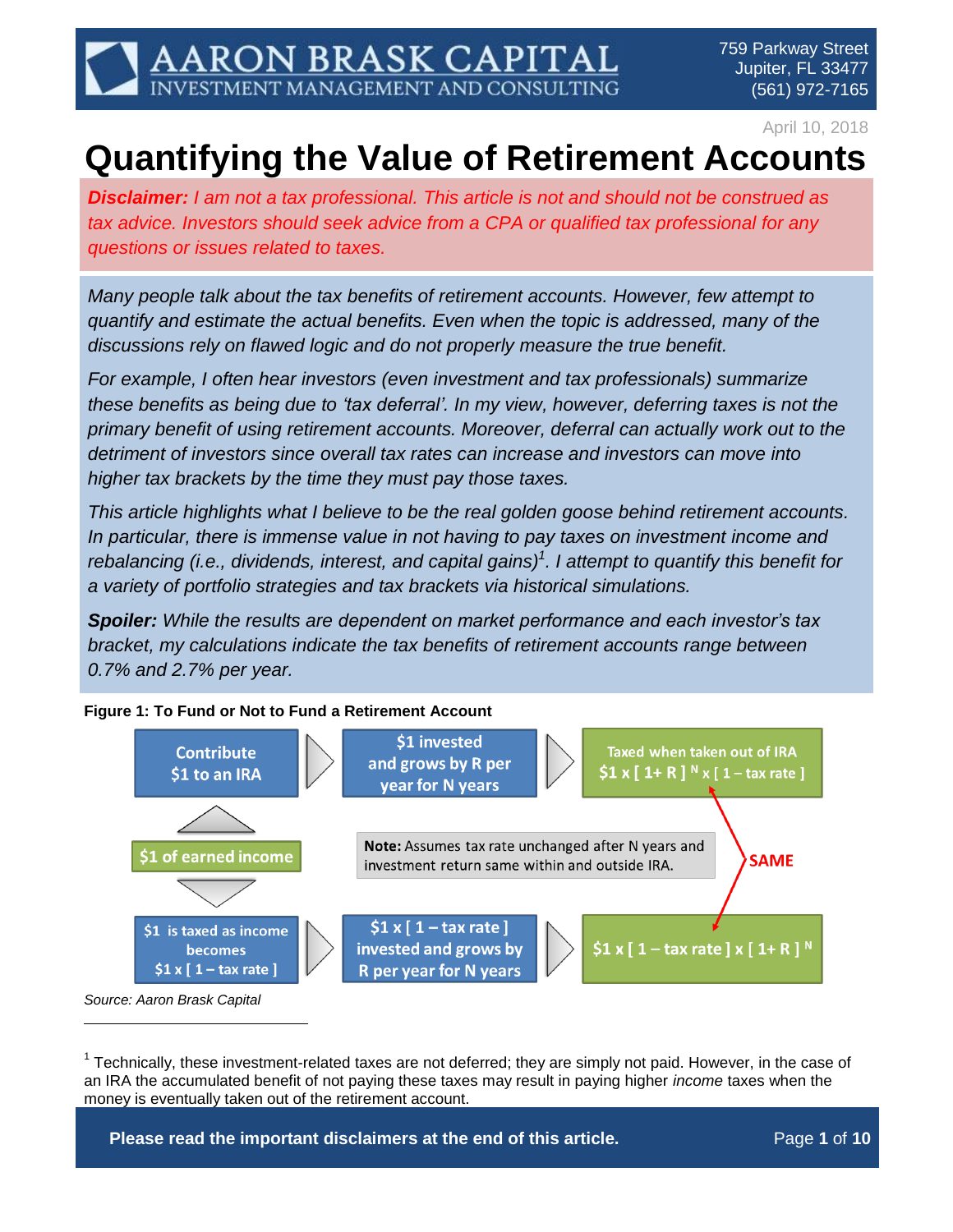759 Parkway Street Jupiter, FL 33477 (561) 972-7165

April 10, 2018

# **Quantifying the Value of Retirement Accounts**

*Disclaimer: I am not a tax professional. This article is not and should not be construed as tax advice. Investors should seek advice from a CPA or qualified tax professional for any questions or issues related to taxes.*

ARON BRASK CAPITAL<br>/estment management and consulting

*Many people talk about the tax benefits of retirement accounts. However, few attempt to quantify and estimate the actual benefits. Even when the topic is addressed, many of the discussions rely on flawed logic and do not properly measure the true benefit.*

*For example, I often hear investors (even investment and tax professionals) summarize these benefits as being due to 'tax deferral'. In my view, however, deferring taxes is not the primary benefit of using retirement accounts. Moreover, deferral can actually work out to the detriment of investors since overall tax rates can increase and investors can move into higher tax brackets by the time they must pay those taxes.*

*This article highlights what I believe to be the real golden goose behind retirement accounts. In particular, there is immense value in not having to pay taxes on investment income and rebalancing (i.e., dividends, interest, and capital gains) 1 . I attempt to quantify this benefit for a variety of portfolio strategies and tax brackets via historical simulations.*

*Spoiler: While the results are dependent on market performance and each investor's tax bracket, my calculations indicate the tax benefits of retirement accounts range between 0.7% and 2.7% per year.*

**Figure 1: To Fund or Not to Fund a Retirement Account**

 $\overline{a}$ 



 $1$  Technically, these investment-related taxes are not deferred; they are simply not paid. However, in the case of an IRA the accumulated benefit of not paying these taxes may result in paying higher *income* taxes when the money is eventually taken out of the retirement account.

**Please read the important disclaimers at the end of this article. Page 1 of 10**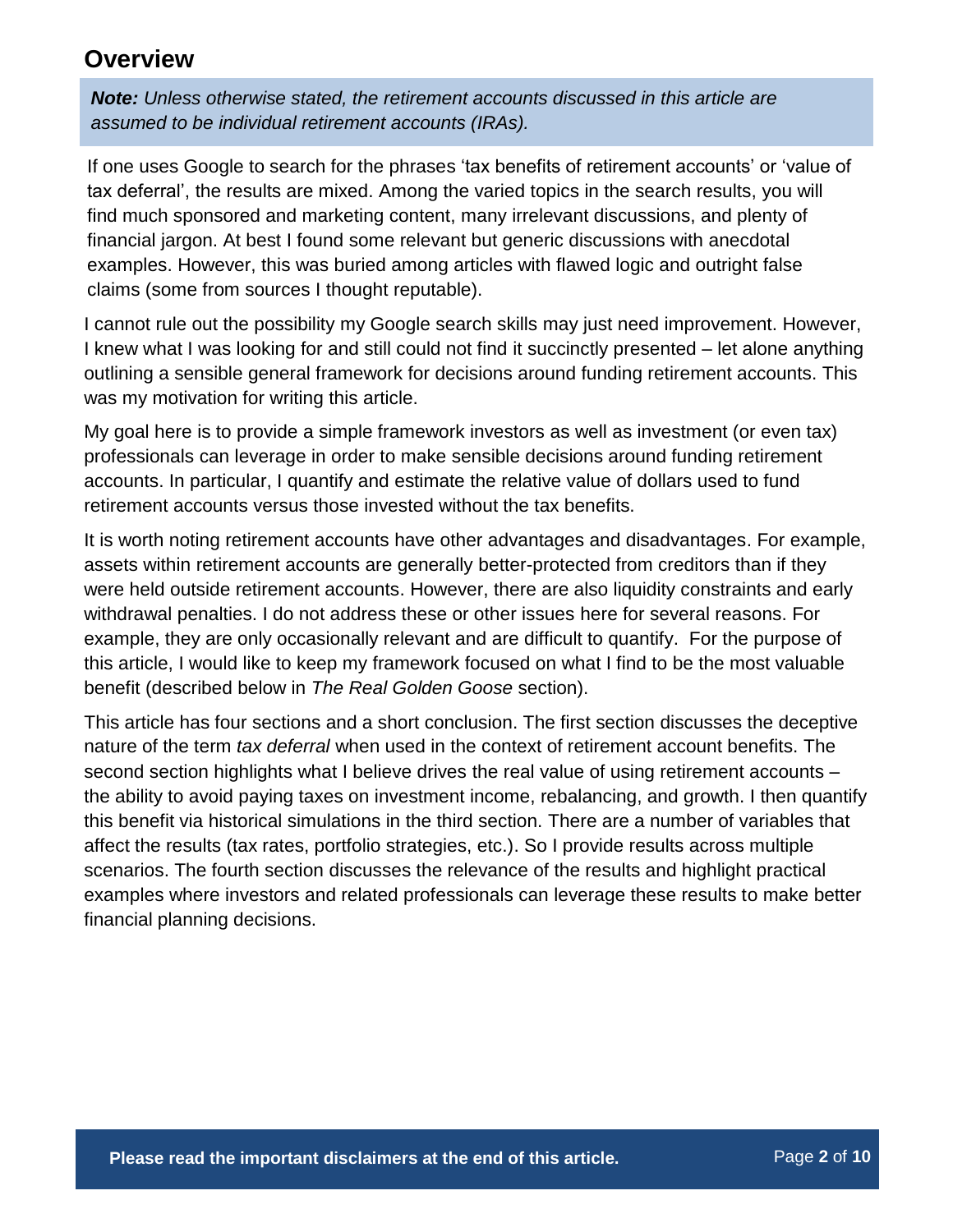### **Overview**

*Note: Unless otherwise stated, the retirement accounts discussed in this article are assumed to be individual retirement accounts (IRAs).*

If one uses Google to search for the phrases 'tax benefits of retirement accounts' or 'value of tax deferral', the results are mixed. Among the varied topics in the search results, you will find much sponsored and marketing content, many irrelevant discussions, and plenty of financial jargon. At best I found some relevant but generic discussions with anecdotal examples. However, this was buried among articles with flawed logic and outright false claims (some from sources I thought reputable).

I cannot rule out the possibility my Google search skills may just need improvement. However, I knew what I was looking for and still could not find it succinctly presented – let alone anything outlining a sensible general framework for decisions around funding retirement accounts. This was my motivation for writing this article.

My goal here is to provide a simple framework investors as well as investment (or even tax) professionals can leverage in order to make sensible decisions around funding retirement accounts. In particular, I quantify and estimate the relative value of dollars used to fund retirement accounts versus those invested without the tax benefits.

It is worth noting retirement accounts have other advantages and disadvantages. For example, assets within retirement accounts are generally better-protected from creditors than if they were held outside retirement accounts. However, there are also liquidity constraints and early withdrawal penalties. I do not address these or other issues here for several reasons. For example, they are only occasionally relevant and are difficult to quantify. For the purpose of this article, I would like to keep my framework focused on what I find to be the most valuable benefit (described below in *The Real Golden Goose* section).

This article has four sections and a short conclusion. The first section discusses the deceptive nature of the term *tax deferral* when used in the context of retirement account benefits. The second section highlights what I believe drives the real value of using retirement accounts the ability to avoid paying taxes on investment income, rebalancing, and growth. I then quantify this benefit via historical simulations in the third section. There are a number of variables that affect the results (tax rates, portfolio strategies, etc.). So I provide results across multiple scenarios. The fourth section discusses the relevance of the results and highlight practical examples where investors and related professionals can leverage these results to make better financial planning decisions.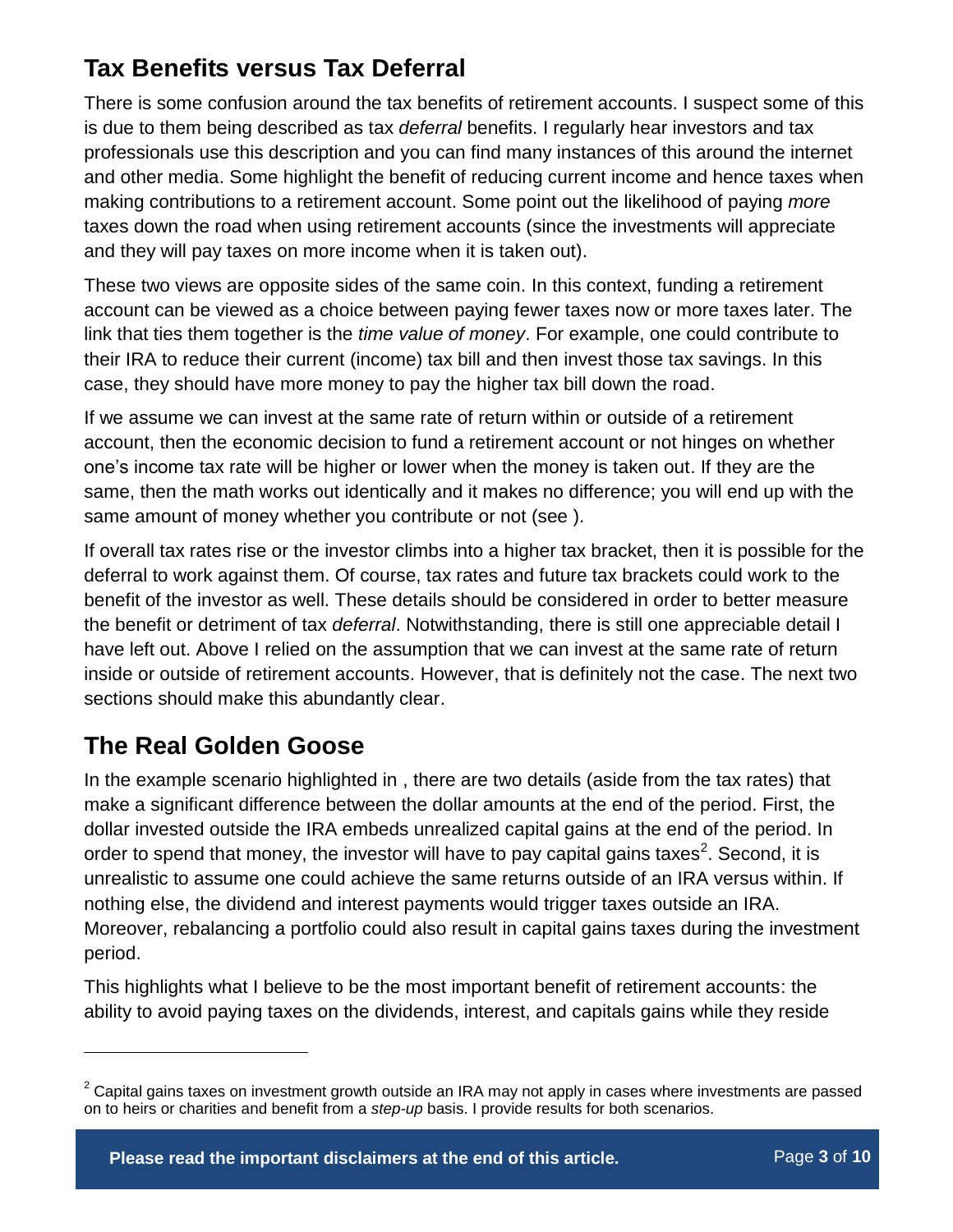# **Tax Benefits versus Tax Deferral**

There is some confusion around the tax benefits of retirement accounts. I suspect some of this is due to them being described as tax *deferral* benefits. I regularly hear investors and tax professionals use this description and you can find many instances of this around the internet and other media. Some highlight the benefit of reducing current income and hence taxes when making contributions to a retirement account. Some point out the likelihood of paying *more*  taxes down the road when using retirement accounts (since the investments will appreciate and they will pay taxes on more income when it is taken out).

These two views are opposite sides of the same coin. In this context, funding a retirement account can be viewed as a choice between paying fewer taxes now or more taxes later. The link that ties them together is the *time value of money*. For example, one could contribute to their IRA to reduce their current (income) tax bill and then invest those tax savings. In this case, they should have more money to pay the higher tax bill down the road.

If we assume we can invest at the same rate of return within or outside of a retirement account, then the economic decision to fund a retirement account or not hinges on whether one's income tax rate will be higher or lower when the money is taken out. If they are the same, then the math works out identically and it makes no difference; you will end up with the same amount of money whether you contribute or not (see ).

If overall tax rates rise or the investor climbs into a higher tax bracket, then it is possible for the deferral to work against them. Of course, tax rates and future tax brackets could work to the benefit of the investor as well. These details should be considered in order to better measure the benefit or detriment of tax *deferral*. Notwithstanding, there is still one appreciable detail I have left out. Above I relied on the assumption that we can invest at the same rate of return inside or outside of retirement accounts. However, that is definitely not the case. The next two sections should make this abundantly clear.

# **The Real Golden Goose**

 $\overline{a}$ 

In the example scenario highlighted in , there are two details (aside from the tax rates) that make a significant difference between the dollar amounts at the end of the period. First, the dollar invested outside the IRA embeds unrealized capital gains at the end of the period. In order to spend that money, the investor will have to pay capital gains taxes<sup>2</sup>. Second, it is unrealistic to assume one could achieve the same returns outside of an IRA versus within. If nothing else, the dividend and interest payments would trigger taxes outside an IRA. Moreover, rebalancing a portfolio could also result in capital gains taxes during the investment period.

This highlights what I believe to be the most important benefit of retirement accounts: the ability to avoid paying taxes on the dividends, interest, and capitals gains while they reside

 $2$  Capital gains taxes on investment growth outside an IRA may not apply in cases where investments are passed on to heirs or charities and benefit from a *step-up* basis. I provide results for both scenarios.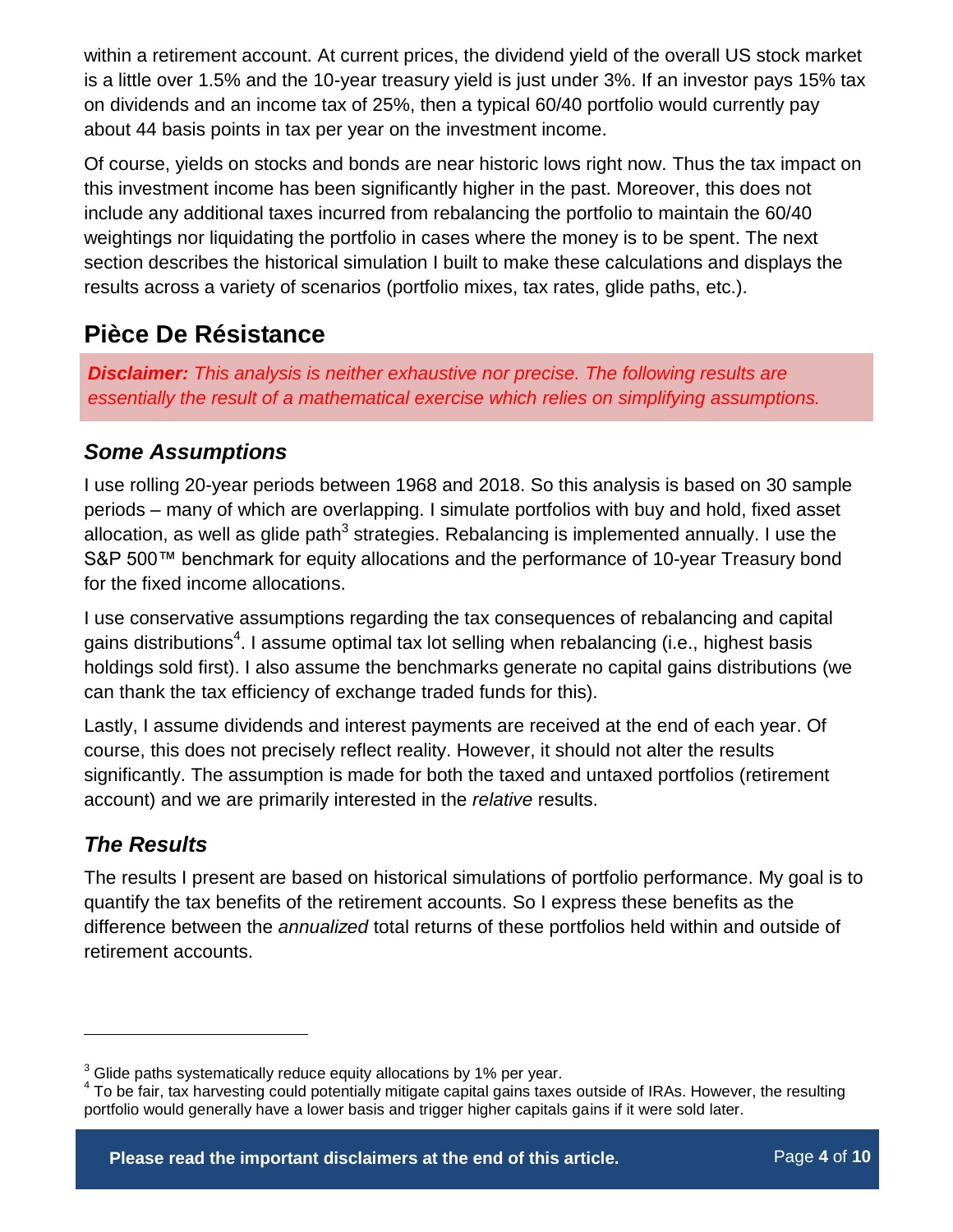within a retirement account. At current prices, the dividend yield of the overall US stock market is a little over 1.5% and the 10-year treasury yield is just under 3%. If an investor pays 15% tax on dividends and an income tax of 25%, then a typical 60/40 portfolio would currently pay about 44 basis points in tax per year on the investment income.

Of course, yields on stocks and bonds are near historic lows right now. Thus the tax impact on this investment income has been significantly higher in the past. Moreover, this does not include any additional taxes incurred from rebalancing the portfolio to maintain the 60/40 weightings nor liquidating the portfolio in cases where the money is to be spent. The next section describes the historical simulation I built to make these calculations and displays the results across a variety of scenarios (portfolio mixes, tax rates, glide paths, etc.).

### **Pièce De Résistance**

*Disclaimer: This analysis is neither exhaustive nor precise. The following results are essentially the result of a mathematical exercise which relies on simplifying assumptions.*

### *Some Assumptions*

I use rolling 20-year periods between 1968 and 2018. So this analysis is based on 30 sample periods – many of which are overlapping. I simulate portfolios with buy and hold, fixed asset allocation, as well as glide path $^3$  strategies. Rebalancing is implemented annually. I use the S&P 500™ benchmark for equity allocations and the performance of 10-year Treasury bond for the fixed income allocations.

I use conservative assumptions regarding the tax consequences of rebalancing and capital gains distributions<sup>4</sup>. I assume optimal tax lot selling when rebalancing (i.e., highest basis holdings sold first). I also assume the benchmarks generate no capital gains distributions (we can thank the tax efficiency of exchange traded funds for this).

Lastly, I assume dividends and interest payments are received at the end of each year. Of course, this does not precisely reflect reality. However, it should not alter the results significantly. The assumption is made for both the taxed and untaxed portfolios (retirement account) and we are primarily interested in the *relative* results.

### *The Results*

 $\overline{a}$ 

The results I present are based on historical simulations of portfolio performance. My goal is to quantify the tax benefits of the retirement accounts. So I express these benefits as the difference between the *annualized* total returns of these portfolios held within and outside of retirement accounts.

 $3$  Glide paths systematically reduce equity allocations by 1% per year.

<sup>&</sup>lt;sup>4</sup> To be fair, tax harvesting could potentially mitigate capital gains taxes outside of IRAs. However, the resulting portfolio would generally have a lower basis and trigger higher capitals gains if it were sold later.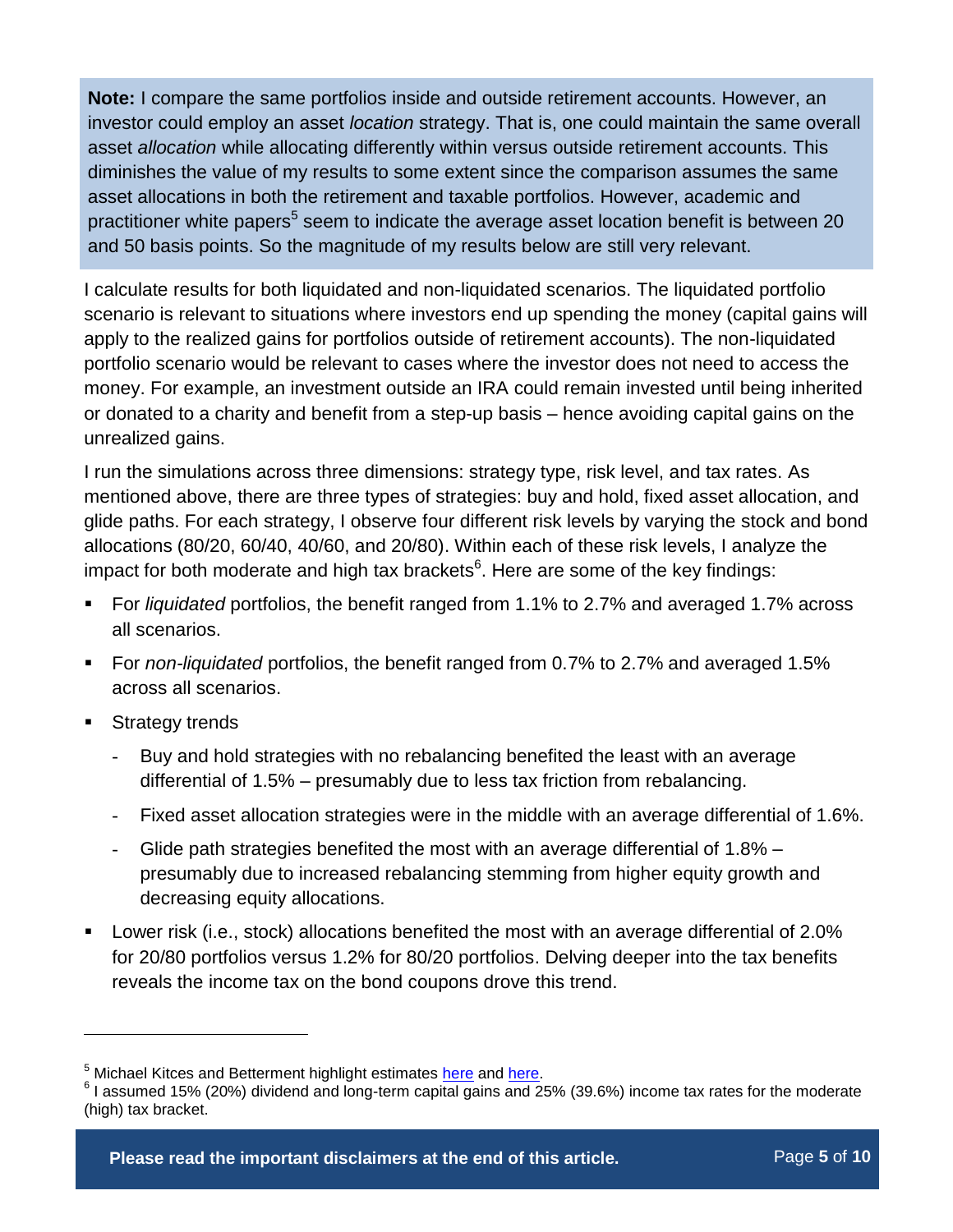**Note:** I compare the same portfolios inside and outside retirement accounts. However, an investor could employ an asset *location* strategy. That is, one could maintain the same overall asset *allocation* while allocating differently within versus outside retirement accounts. This diminishes the value of my results to some extent since the comparison assumes the same asset allocations in both the retirement and taxable portfolios. However, academic and practitioner white papers<sup>5</sup> seem to indicate the average asset location benefit is between 20 and 50 basis points. So the magnitude of my results below are still very relevant.

I calculate results for both liquidated and non-liquidated scenarios. The liquidated portfolio scenario is relevant to situations where investors end up spending the money (capital gains will apply to the realized gains for portfolios outside of retirement accounts). The non-liquidated portfolio scenario would be relevant to cases where the investor does not need to access the money. For example, an investment outside an IRA could remain invested until being inherited or donated to a charity and benefit from a step-up basis – hence avoiding capital gains on the unrealized gains.

I run the simulations across three dimensions: strategy type, risk level, and tax rates. As mentioned above, there are three types of strategies: buy and hold, fixed asset allocation, and glide paths. For each strategy, I observe four different risk levels by varying the stock and bond allocations (80/20, 60/40, 40/60, and 20/80). Within each of these risk levels, I analyze the impact for both moderate and high tax brackets $^6$ . Here are some of the key findings:

- For *liquidated* portfolios, the benefit ranged from 1.1% to 2.7% and averaged 1.7% across all scenarios.
- For *non-liquidated* portfolios, the benefit ranged from 0.7% to 2.7% and averaged 1.5% across all scenarios.
- Strategy trends

 $\overline{a}$ 

- Buy and hold strategies with no rebalancing benefited the least with an average differential of 1.5% – presumably due to less tax friction from rebalancing.
- Fixed asset allocation strategies were in the middle with an average differential of 1.6%.
- Glide path strategies benefited the most with an average differential of 1.8% presumably due to increased rebalancing stemming from higher equity growth and decreasing equity allocations.
- Lower risk (i.e., stock) allocations benefited the most with an average differential of 2.0% for 20/80 portfolios versus 1.2% for 80/20 portfolios. Delving deeper into the tax benefits reveals the income tax on the bond coupons drove this trend.

<sup>&</sup>lt;sup>5</sup> Michael Kitces and Betterment highlight estimates [here](https://www.kitces.com/blog/asset-location-the-new-wealth-management-value-add-for-optimal-portfolio-design/) and [here.](https://www.betterment.com/resources/introducing-tax-coordinated-portfolio/)

 $6$  I assumed 15% (20%) dividend and long-term capital gains and 25% (39.6%) income tax rates for the moderate (high) tax bracket.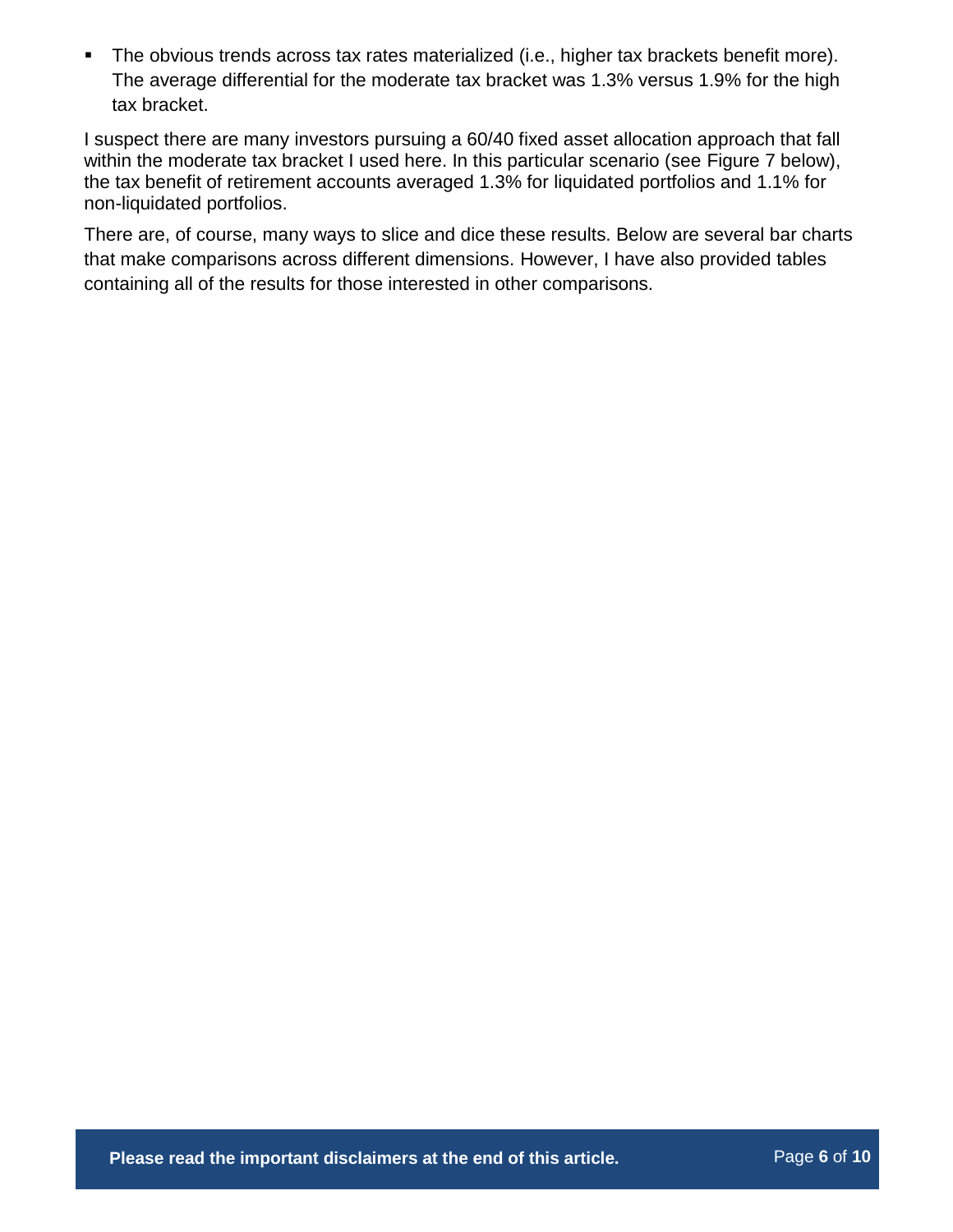The obvious trends across tax rates materialized (i.e., higher tax brackets benefit more). The average differential for the moderate tax bracket was 1.3% versus 1.9% for the high tax bracket.

I suspect there are many investors pursuing a 60/40 fixed asset allocation approach that fall within the moderate tax bracket I used here. In this particular scenario (see [Figure 7](#page-7-0) below), the tax benefit of retirement accounts averaged 1.3% for liquidated portfolios and 1.1% for non-liquidated portfolios.

There are, of course, many ways to slice and dice these results. Below are several bar charts that make comparisons across different dimensions. However, I have also provided tables containing all of the results for those interested in other comparisons.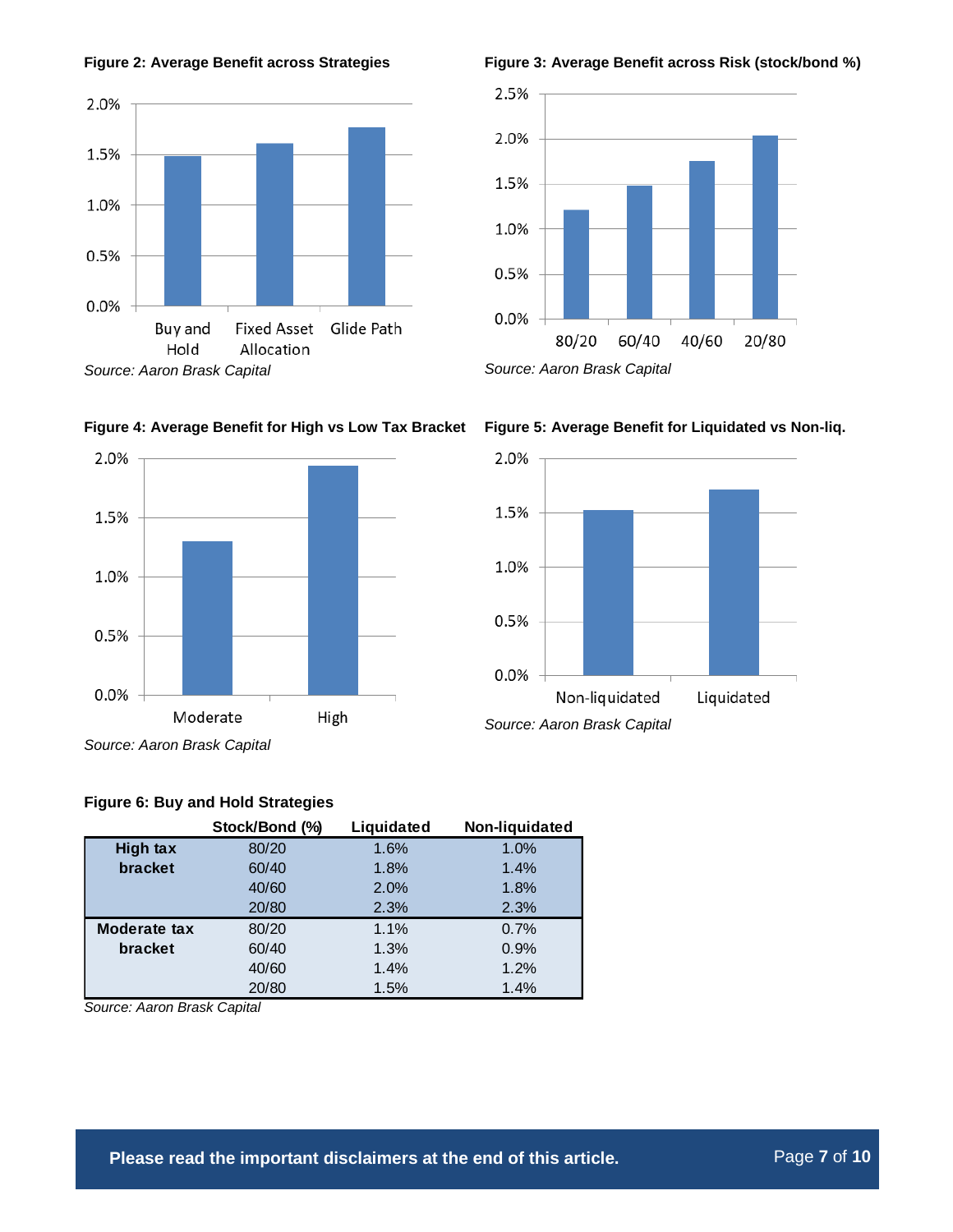







*Source: Aaron Brask Capital*





*Source: Aaron Brask Capital*

**Figure 5: Average Benefit for Liquidated vs Non-liq.**



**Figure 6: Buy and Hold Strategies**

|                     | Stock/Bond (%) | Liquidated | Non-liquidated |
|---------------------|----------------|------------|----------------|
| <b>High tax</b>     | 80/20          | 1.6%       | 1.0%           |
| bracket             | 60/40          | 1.8%       | 1.4%           |
|                     | 40/60          | 2.0%       | 1.8%           |
|                     | 20/80          | 2.3%       | 2.3%           |
| <b>Moderate tax</b> | 80/20          | 1.1%       | 0.7%           |
| bracket             | 60/40          | 1.3%       | 0.9%           |
|                     | 40/60          | 1.4%       | 1.2%           |
|                     | 20/80          | 1.5%       | 1.4%           |

*Source: Aaron Brask Capital*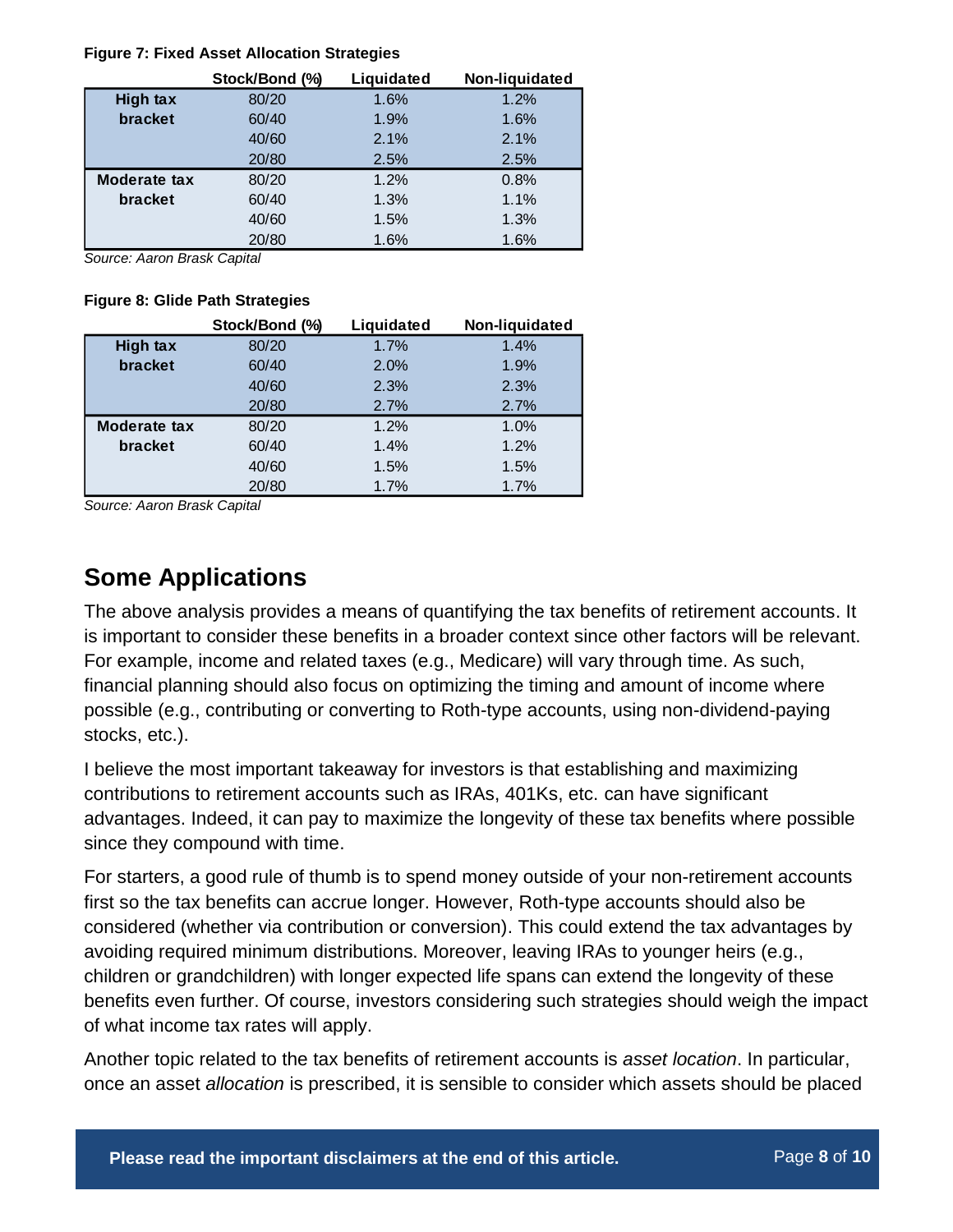#### <span id="page-7-0"></span>**Figure 7: Fixed Asset Allocation Strategies**

|                 | Stock/Bond (%) | Liquidated | Non-liquidated |
|-----------------|----------------|------------|----------------|
| <b>High tax</b> | 80/20          | 1.6%       | 1.2%           |
| bracket         | 60/40          | 1.9%       | 1.6%           |
|                 | 40/60          | 2.1%       | 2.1%           |
|                 | 20/80          | 2.5%       | 2.5%           |
| Moderate tax    | 80/20          | 1.2%       | 0.8%           |
| bracket         | 60/40          | 1.3%       | 1.1%           |
|                 | 40/60          | 1.5%       | 1.3%           |
|                 | 20/80          | 1.6%       | 1.6%           |

*Source: Aaron Brask Capital*

#### **Figure 8: Glide Path Strategies**

|                     | Stock/Bond (%) | Liquidated | Non-liquidated |
|---------------------|----------------|------------|----------------|
| <b>High tax</b>     | 80/20          | 1.7%       | 1.4%           |
| bracket             | 60/40          | 2.0%       | 1.9%           |
|                     | 40/60          | 2.3%       | 2.3%           |
|                     | 20/80          | 2.7%       | 2.7%           |
| <b>Moderate tax</b> | 80/20          | 1.2%       | 1.0%           |
| bracket             | 60/40          | 1.4%       | 1.2%           |
|                     | 40/60          | 1.5%       | 1.5%           |
|                     | 20/80          | 1.7%       | 1.7%           |

*Source: Aaron Brask Capital*

# **Some Applications**

The above analysis provides a means of quantifying the tax benefits of retirement accounts. It is important to consider these benefits in a broader context since other factors will be relevant. For example, income and related taxes (e.g., Medicare) will vary through time. As such, financial planning should also focus on optimizing the timing and amount of income where possible (e.g., contributing or converting to Roth-type accounts, using non-dividend-paying stocks, etc.).

I believe the most important takeaway for investors is that establishing and maximizing contributions to retirement accounts such as IRAs, 401Ks, etc. can have significant advantages. Indeed, it can pay to maximize the longevity of these tax benefits where possible since they compound with time.

For starters, a good rule of thumb is to spend money outside of your non-retirement accounts first so the tax benefits can accrue longer. However, Roth-type accounts should also be considered (whether via contribution or conversion). This could extend the tax advantages by avoiding required minimum distributions. Moreover, leaving IRAs to younger heirs (e.g., children or grandchildren) with longer expected life spans can extend the longevity of these benefits even further. Of course, investors considering such strategies should weigh the impact of what income tax rates will apply.

Another topic related to the tax benefits of retirement accounts is *asset location*. In particular, once an asset *allocation* is prescribed, it is sensible to consider which assets should be placed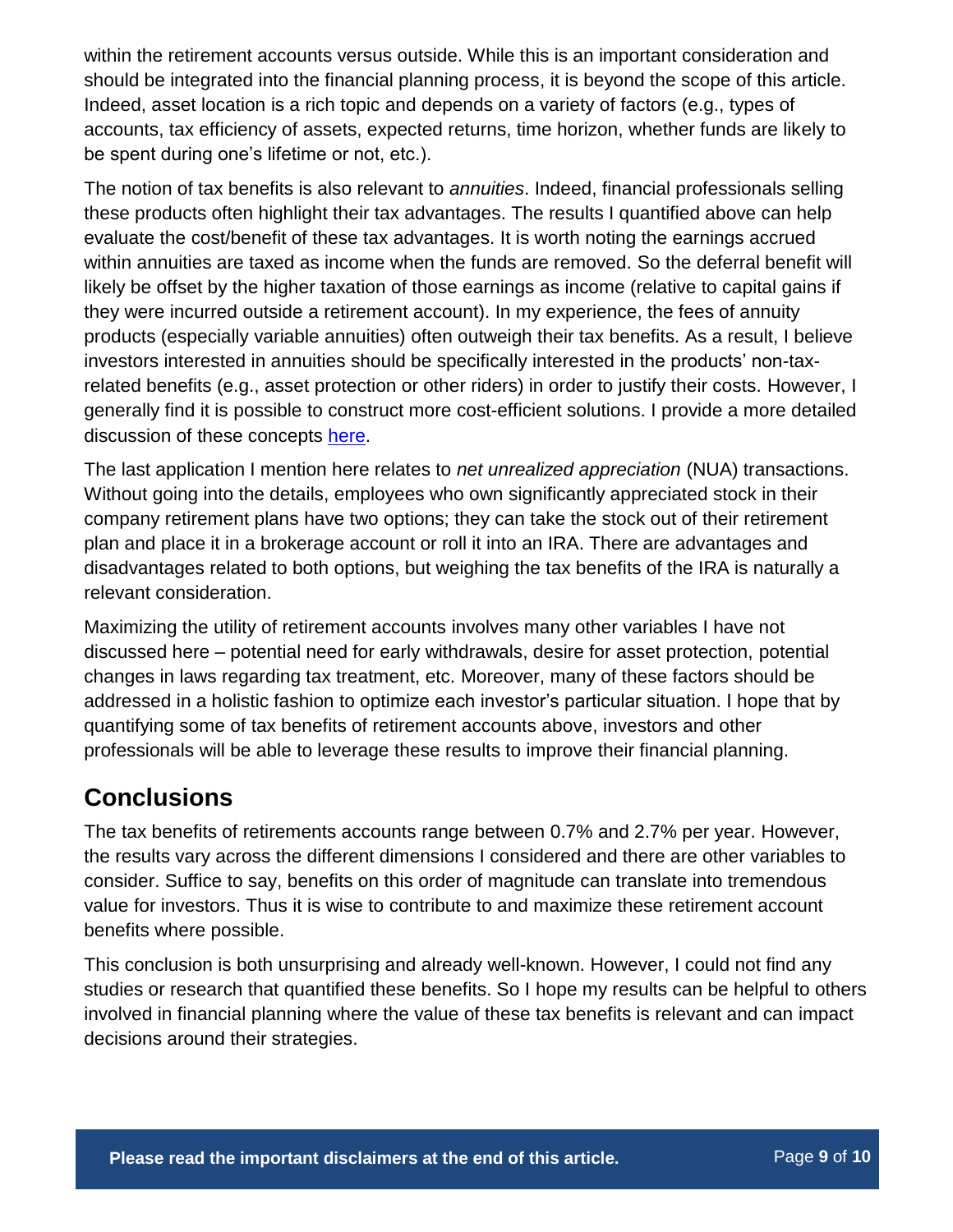within the retirement accounts versus outside. While this is an important consideration and should be integrated into the financial planning process, it is beyond the scope of this article. Indeed, asset location is a rich topic and depends on a variety of factors (e.g., types of accounts, tax efficiency of assets, expected returns, time horizon, whether funds are likely to be spent during one's lifetime or not, etc.).

The notion of tax benefits is also relevant to *annuities*. Indeed, financial professionals selling these products often highlight their tax advantages. The results I quantified above can help evaluate the cost/benefit of these tax advantages. It is worth noting the earnings accrued within annuities are taxed as income when the funds are removed. So the deferral benefit will likely be offset by the higher taxation of those earnings as income (relative to capital gains if they were incurred outside a retirement account). In my experience, the fees of annuity products (especially variable annuities) often outweigh their tax benefits. As a result, I believe investors interested in annuities should be specifically interested in the products' non-taxrelated benefits (e.g., asset protection or other riders) in order to justify their costs. However, I generally find it is possible to construct more cost-efficient solutions. I provide a more detailed discussion of these concepts [here.](http://www.aaronbraskcapital.com/research/income-generation-101-retirees/)

The last application I mention here relates to *net unrealized appreciation* (NUA) transactions. Without going into the details, employees who own significantly appreciated stock in their company retirement plans have two options; they can take the stock out of their retirement plan and place it in a brokerage account or roll it into an IRA. There are advantages and disadvantages related to both options, but weighing the tax benefits of the IRA is naturally a relevant consideration.

Maximizing the utility of retirement accounts involves many other variables I have not discussed here – potential need for early withdrawals, desire for asset protection, potential changes in laws regarding tax treatment, etc. Moreover, many of these factors should be addressed in a holistic fashion to optimize each investor's particular situation. I hope that by quantifying some of tax benefits of retirement accounts above, investors and other professionals will be able to leverage these results to improve their financial planning.

### **Conclusions**

The tax benefits of retirements accounts range between 0.7% and 2.7% per year. However, the results vary across the different dimensions I considered and there are other variables to consider. Suffice to say, benefits on this order of magnitude can translate into tremendous value for investors. Thus it is wise to contribute to and maximize these retirement account benefits where possible.

This conclusion is both unsurprising and already well-known. However, I could not find any studies or research that quantified these benefits. So I hope my results can be helpful to others involved in financial planning where the value of these tax benefits is relevant and can impact decisions around their strategies.